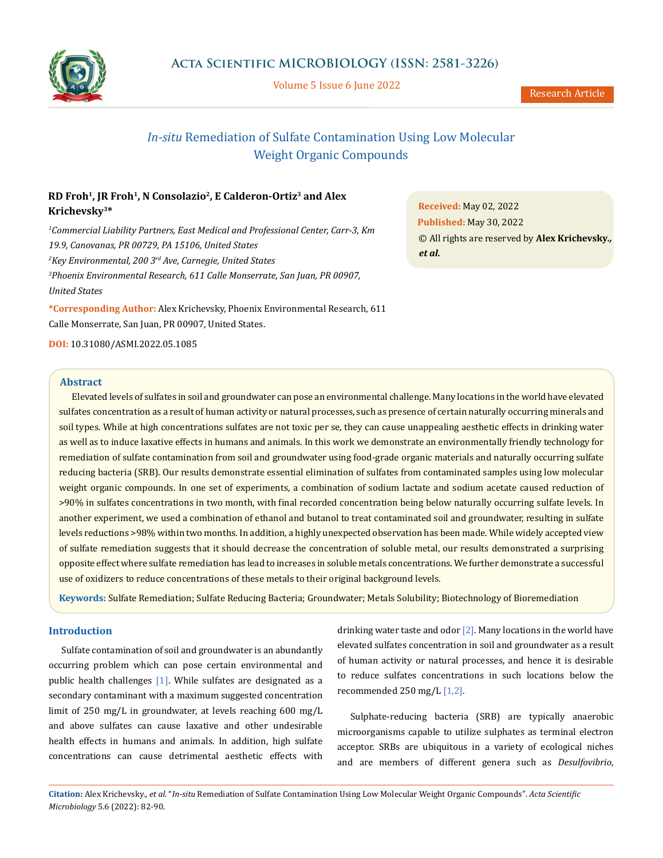

Volume 5 Issue 6 June 2022

# *In-situ* Remediation of Sulfate Contamination Using Low Molecular Weight Organic Compounds

# **RD Froh1, JR Froh1, N Consolazio2, E Calderon-Ortiz3 and Alex Krichevsky3\***

*1 Commercial Liability Partners, East Medical and Professional Center, Carr-3, Km 19.9, Canovanas, PR 00729, PA 15106, United States 2 Key Environmental, 200 3rd Ave, Carnegie, United States 3 Phoenix Environmental Research, 611 Calle Monserrate, San Juan, PR 00907, United States*

**\*Corresponding Author:** Alex Krichevsky, Phoenix Environmental Research, 611 Calle Monserrate, San Juan, PR 00907*,* United States.

**DOI:** [10.31080/ASMI.2022.05.1085](http://actascientific.com/ASMI/pdf/ASMI-05-1085.pdf)

### **Abstract**

Elevated levels of sulfates in soil and groundwater can pose an environmental challenge. Many locations in the world have elevated sulfates concentration as a result of human activity or natural processes, such as presence of certain naturally occurring minerals and soil types. While at high concentrations sulfates are not toxic per se, they can cause unappealing aesthetic effects in drinking water as well as to induce laxative effects in humans and animals. In this work we demonstrate an environmentally friendly technology for remediation of sulfate contamination from soil and groundwater using food-grade organic materials and naturally occurring sulfate reducing bacteria (SRB). Our results demonstrate essential elimination of sulfates from contaminated samples using low molecular weight organic compounds. In one set of experiments, a combination of sodium lactate and sodium acetate caused reduction of >90% in sulfates concentrations in two month, with final recorded concentration being below naturally occurring sulfate levels. In another experiment, we used a combination of ethanol and butanol to treat contaminated soil and groundwater, resulting in sulfate levels reductions >98% within two months. In addition, a highly unexpected observation has been made. While widely accepted view of sulfate remediation suggests that it should decrease the concentration of soluble metal, our results demonstrated a surprising opposite effect where sulfate remediation has lead to increases in soluble metals concentrations. We further demonstrate a successful use of oxidizers to reduce concentrations of these metals to their original background levels.

**Keywords:** Sulfate Remediation; Sulfate Reducing Bacteria; Groundwater; Metals Solubility; Biotechnology of Bioremediation

# **Introduction**

Sulfate contamination of soil and groundwater is an abundantly occurring problem which can pose certain environmental and public health challenges  $[1]$ . While sulfates are designated as a secondary contaminant with a maximum suggested concentration limit of 250 mg/L in groundwater, at levels reaching 600 mg/L and above sulfates can cause laxative and other undesirable health effects in humans and animals. In addition, high sulfate concentrations can cause detrimental aesthetic effects with drinking water taste and odor  $[2]$ . Many locations in the world have elevated sulfates concentration in soil and groundwater as a result of human activity or natural processes, and hence it is desirable to reduce sulfates concentrations in such locations below the recommended 250 mg/L [1,2].

Sulphate-reducing bacteria (SRB) are typically anaerobic microorganisms capable to utilize sulphates as terminal electron acceptor. SRBs are ubiquitous in a variety of ecological niches and are members of different genera such as *Desulfovibrio*,

**Citation:** Alex Krichevsky*., et al.* "*In-situ* Remediation of Sulfate Contamination Using Low Molecular Weight Organic Compounds". *Acta Scientific Microbiology* 5.6 (2022): 82-90.

**Received:** May 02, 2022 **Published:** May 30, 2022 © All rights are reserved by **Alex Krichevsky***., et al.*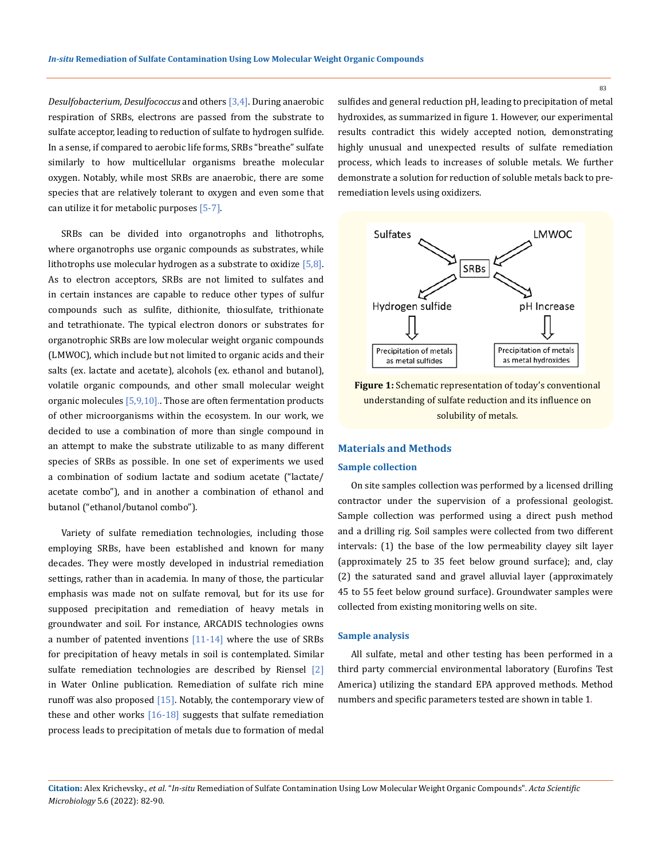*Desulfobacterium, Desulfococcus* and others [3,4]. During anaerobic respiration of SRBs, electrons are passed from the substrate to sulfate acceptor, leading to reduction of sulfate to hydrogen sulfide. In a sense, if compared to aerobic life forms, SRBs "breathe" sulfate similarly to how multicellular organisms breathe molecular oxygen. Notably, while most SRBs are anaerobic, there are some species that are relatively tolerant to oxygen and even some that can utilize it for metabolic purposes [5-7].

SRBs can be divided into organotrophs and lithotrophs, where organotrophs use organic compounds as substrates, while lithotrophs use molecular hydrogen as a substrate to oxidize  $[5,8]$ . As to electron acceptors, SRBs are not limited to sulfates and in certain instances are capable to reduce other types of sulfur compounds such as sulfite, dithionite, thiosulfate, trithionate and tetrathionate. The typical electron donors or substrates for organotrophic SRBs are low molecular weight organic compounds (LMWOC), which include but not limited to organic acids and their salts (ex. lactate and acetate), alcohols (ex. ethanol and butanol), volatile organic compounds, and other small molecular weight organic molecules [5,9,10]. Those are often fermentation products of other microorganisms within the ecosystem. In our work, we decided to use a combination of more than single compound in an attempt to make the substrate utilizable to as many different species of SRBs as possible. In one set of experiments we used a combination of sodium lactate and sodium acetate ("lactate/ acetate combo"), and in another a combination of ethanol and butanol ("ethanol/butanol combo").

Variety of sulfate remediation technologies, including those employing SRBs, have been established and known for many decades. They were mostly developed in industrial remediation settings, rather than in academia. In many of those, the particular emphasis was made not on sulfate removal, but for its use for supposed precipitation and remediation of heavy metals in groundwater and soil. For instance, ARCADIS technologies owns a number of patented inventions  $[11-14]$  where the use of SRBs for precipitation of heavy metals in soil is contemplated. Similar sulfate remediation technologies are described by Riensel  $\lceil 2 \rceil$ in Water Online publication. Remediation of sulfate rich mine runoff was also proposed  $[15]$ . Notably, the contemporary view of these and other works  $[16-18]$  suggests that sulfate remediation process leads to precipitation of metals due to formation of medal

sulfides and general reduction pH, leading to precipitation of metal hydroxides, as summarized in figure 1. However, our experimental results contradict this widely accepted notion, demonstrating highly unusual and unexpected results of sulfate remediation process, which leads to increases of soluble metals. We further demonstrate a solution for reduction of soluble metals back to preremediation levels using oxidizers.



**Figure 1:** Schematic representation of today's conventional understanding of sulfate reduction and its influence on solubility of metals.

## **Materials and Methods**

## **Sample collection**

On site samples collection was performed by a licensed drilling contractor under the supervision of a professional geologist. Sample collection was performed using a direct push method and a drilling rig. Soil samples were collected from two different intervals: (1) the base of the low permeability clayey silt layer (approximately 25 to 35 feet below ground surface); and, clay (2) the saturated sand and gravel alluvial layer (approximately 45 to 55 feet below ground surface). Groundwater samples were collected from existing monitoring wells on site.

#### **Sample analysis**

All sulfate, metal and other testing has been performed in a third party commercial environmental laboratory (Eurofins Test America) utilizing the standard EPA approved methods. Method numbers and specific parameters tested are shown in table 1.

## **Citation:** Alex Krichevsky*., et al.* "*In-situ* Remediation of Sulfate Contamination Using Low Molecular Weight Organic Compounds". *Acta Scientific Microbiology* 5.6 (2022): 82-90.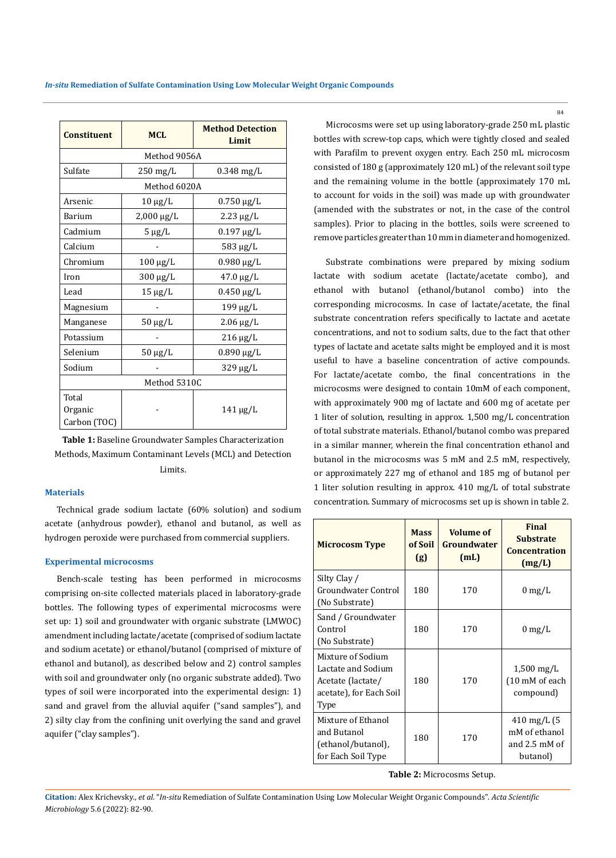| <b>Constituent</b>               | <b>MCL</b>         | <b>Method Detection</b><br>Limit |  |  |
|----------------------------------|--------------------|----------------------------------|--|--|
| Method 9056A                     |                    |                                  |  |  |
| Sulfate                          | $250 \text{ mg/L}$ | $0.348$ mg/L                     |  |  |
| Method 6020A                     |                    |                                  |  |  |
| Arsenic                          | $10 \mu g/L$       | $0.750 \,\mathrm{\upmu g/L}$     |  |  |
| Barium                           | 2,000 μg/L         | $2.23 \mu g/L$                   |  |  |
| Cadmium                          | $5 \mu g/L$        | $0.197 \,\mu g/L$                |  |  |
| Calcium                          |                    | 583 μg/L                         |  |  |
| Chromium                         | 100 μg/L           | $0.980 \,\mu g/L$                |  |  |
| Iron                             | 300 μg/L           | $47.0 \,\mu g/L$                 |  |  |
| Lead                             | $15 \mu g/L$       | $0.450 \,\mathrm{\upmu g/L}$     |  |  |
| Magnesium                        |                    | $199 \mu g/L$                    |  |  |
| Manganese                        | $50 \mu g/L$       | $2.06 \,\mu g/L$                 |  |  |
| Potassium                        |                    | 216 μg/L                         |  |  |
| Selenium                         | $50 \mu g/L$       | $0.890 \,\mathrm{\upmu g/L}$     |  |  |
| Sodium                           |                    | 329 μg/L                         |  |  |
| Method 5310C                     |                    |                                  |  |  |
| Total<br>Organic<br>Carbon (TOC) |                    | $141 \mu g/L$                    |  |  |

**Table 1:** Baseline Groundwater Samples Characterization Methods, Maximum Contaminant Levels (MCL) and Detection Limits.

## **Materials**

Technical grade sodium lactate (60% solution) and sodium acetate (anhydrous powder), ethanol and butanol, as well as hydrogen peroxide were purchased from commercial suppliers.

#### **Experimental microcosms**

Bench-scale testing has been performed in microcosms comprising on-site collected materials placed in laboratory-grade bottles. The following types of experimental microcosms were set up: 1) soil and groundwater with organic substrate (LMWOC) amendment including lactate/acetate (comprised of sodium lactate and sodium acetate) or ethanol/butanol (comprised of mixture of ethanol and butanol), as described below and 2) control samples with soil and groundwater only (no organic substrate added). Two types of soil were incorporated into the experimental design: 1) sand and gravel from the alluvial aquifer ("sand samples"), and 2) silty clay from the confining unit overlying the sand and gravel aquifer ("clay samples").

Microcosms were set up using laboratory-grade 250 mL plastic bottles with screw-top caps, which were tightly closed and sealed with Parafilm to prevent oxygen entry. Each 250 mL microcosm consisted of 180 g (approximately 120 mL) of the relevant soil type and the remaining volume in the bottle (approximately 170 mL to account for voids in the soil) was made up with groundwater (amended with the substrates or not, in the case of the control samples). Prior to placing in the bottles, soils were screened to remove particles greater than 10 mm in diameter and homogenized.

Substrate combinations were prepared by mixing sodium lactate with sodium acetate (lactate/acetate combo), and ethanol with butanol (ethanol/butanol combo) into the corresponding microcosms. In case of lactate/acetate, the final substrate concentration refers specifically to lactate and acetate concentrations, and not to sodium salts, due to the fact that other types of lactate and acetate salts might be employed and it is most useful to have a baseline concentration of active compounds. For lactate/acetate combo, the final concentrations in the microcosms were designed to contain 10mM of each component, with approximately 900 mg of lactate and 600 mg of acetate per 1 liter of solution, resulting in approx. 1,500 mg/L concentration of total substrate materials. Ethanol/butanol combo was prepared in a similar manner, wherein the final concentration ethanol and butanol in the microcosms was 5 mM and 2.5 mM, respectively, or approximately 227 mg of ethanol and 185 mg of butanol per 1 liter solution resulting in approx. 410 mg/L of total substrate concentration. Summary of microcosms set up is shown in table 2.

| <b>Microcosm Type</b>                                                                           | <b>Mass</b><br>of Soil<br>(g) | <b>Volume of</b><br>Groundwater<br>(mL) | <b>Final</b><br><b>Substrate</b><br><b>Concentration</b><br>(mg/L) |
|-------------------------------------------------------------------------------------------------|-------------------------------|-----------------------------------------|--------------------------------------------------------------------|
| Silty Clay /<br>Groundwater Control<br>(No Substrate)                                           | 180                           | 170                                     | $0 \text{ mg/L}$                                                   |
| Sand / Groundwater<br>Control<br>(No Substrate)                                                 | 180                           | 170                                     | $0 \text{ mg/L}$                                                   |
| Mixture of Sodium<br>Lactate and Sodium<br>Acetate (lactate/<br>acetate), for Each Soil<br>Type | 180                           | 170                                     | $1,500 \,\mathrm{mg/L}$<br>(10 mM of each<br>compound)             |
| Mixture of Ethanol<br>and Butanol<br>(ethanol/butanol),<br>for Each Soil Type                   | 180                           | 170                                     | 410 mg/L (5<br>mM of ethanol<br>and 2.5 mM of<br>butanol)          |

**Table 2:** Microcosms Setup.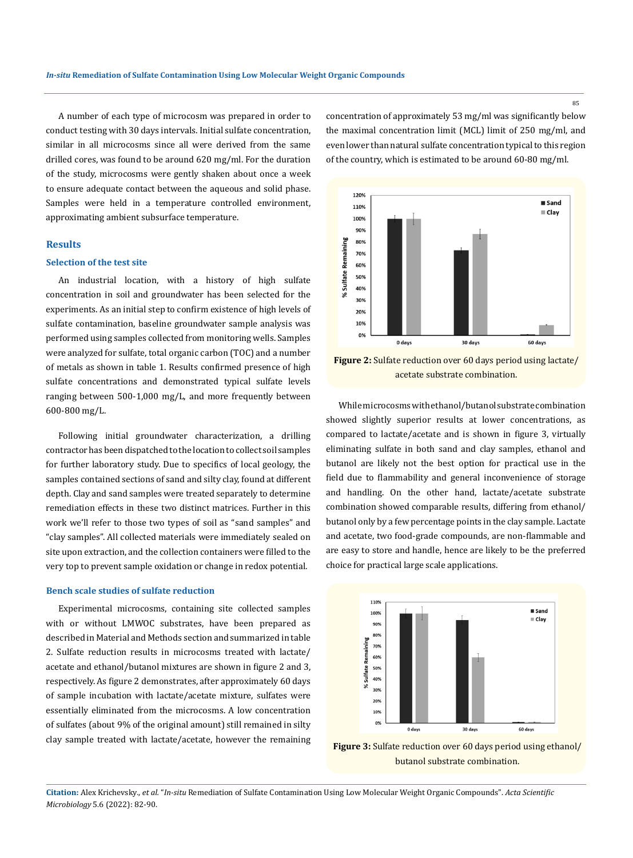A number of each type of microcosm was prepared in order to conduct testing with 30 days intervals. Initial sulfate concentration, similar in all microcosms since all were derived from the same drilled cores, was found to be around 620 mg/ml. For the duration of the study, microcosms were gently shaken about once a week to ensure adequate contact between the aqueous and solid phase. Samples were held in a temperature controlled environment, approximating ambient subsurface temperature.

## **Results**

#### **Selection of the test site**

An industrial location, with a history of high sulfate concentration in soil and groundwater has been selected for the experiments. As an initial step to confirm existence of high levels of sulfate contamination, baseline groundwater sample analysis was performed using samples collected from monitoring wells. Samples were analyzed for sulfate, total organic carbon (TOC) and a number of metals as shown in table 1. Results confirmed presence of high sulfate concentrations and demonstrated typical sulfate levels ranging between 500-1,000 mg/L, and more frequently between 600-800 mg/L.

Following initial groundwater characterization, a drilling contractor has been dispatched to the location to collect soil samples for further laboratory study. Due to specifics of local geology, the samples contained sections of sand and silty clay, found at different depth. Clay and sand samples were treated separately to determine remediation effects in these two distinct matrices. Further in this work we'll refer to those two types of soil as "sand samples" and "clay samples". All collected materials were immediately sealed on site upon extraction, and the collection containers were filled to the very top to prevent sample oxidation or change in redox potential.

#### **Bench scale studies of sulfate reduction**

Experimental microcosms, containing site collected samples with or without LMWOC substrates, have been prepared as described in Material and Methods section and summarized in table 2. Sulfate reduction results in microcosms treated with lactate/ acetate and ethanol/butanol mixtures are shown in figure 2 and 3, respectively. As figure 2 demonstrates, after approximately 60 days of sample incubation with lactate/acetate mixture, sulfates were essentially eliminated from the microcosms. A low concentration of sulfates (about 9% of the original amount) still remained in silty clay sample treated with lactate/acetate, however the remaining concentration of approximately 53 mg/ml was significantly below the maximal concentration limit (MCL) limit of 250 mg/ml, and even lower than natural sulfate concentration typical to this region of the country, which is estimated to be around 60-80 mg/ml.



**Figure 2:** Sulfate reduction over 60 days period using lactate/ acetate substrate combination.

While microcosms with ethanol/butanol substrate combination showed slightly superior results at lower concentrations, as compared to lactate/acetate and is shown in figure 3, virtually eliminating sulfate in both sand and clay samples, ethanol and butanol are likely not the best option for practical use in the field due to flammability and general inconvenience of storage and handling. On the other hand, lactate/acetate substrate combination showed comparable results, differing from ethanol/ butanol only by a few percentage points in the clay sample. Lactate and acetate, two food-grade compounds, are non-flammable and are easy to store and handle, hence are likely to be the preferred choice for practical large scale applications.



**Figure 3:** Sulfate reduction over 60 days period using ethanol/ butanol substrate combination.

**Citation:** Alex Krichevsky*., et al.* "*In-situ* Remediation of Sulfate Contamination Using Low Molecular Weight Organic Compounds". *Acta Scientific Microbiology* 5.6 (2022): 82-90.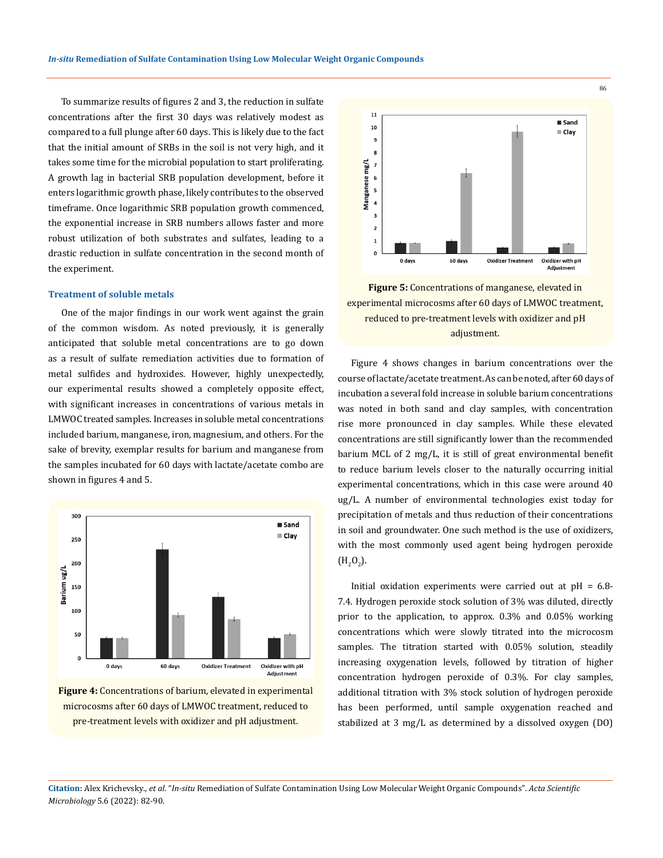To summarize results of figures 2 and 3, the reduction in sulfate concentrations after the first 30 days was relatively modest as compared to a full plunge after 60 days. This is likely due to the fact that the initial amount of SRBs in the soil is not very high, and it takes some time for the microbial population to start proliferating. A growth lag in bacterial SRB population development, before it enters logarithmic growth phase, likely contributes to the observed timeframe. Once logarithmic SRB population growth commenced, the exponential increase in SRB numbers allows faster and more robust utilization of both substrates and sulfates, leading to a drastic reduction in sulfate concentration in the second month of the experiment.

#### **Treatment of soluble metals**

One of the major findings in our work went against the grain of the common wisdom. As noted previously, it is generally anticipated that soluble metal concentrations are to go down as a result of sulfate remediation activities due to formation of metal sulfides and hydroxides. However, highly unexpectedly, our experimental results showed a completely opposite effect, with significant increases in concentrations of various metals in LMWOC treated samples. Increases in soluble metal concentrations included barium, manganese, iron, magnesium, and others. For the sake of brevity, exemplar results for barium and manganese from the samples incubated for 60 days with lactate/acetate combo are shown in figures 4 and 5.







**Figure 5:** Concentrations of manganese, elevated in experimental microcosms after 60 days of LMWOC treatment, reduced to pre-treatment levels with oxidizer and pH adjustment.

Figure 4 shows changes in barium concentrations over the course of lactate/acetate treatment. As can be noted, after 60 days of incubation a several fold increase in soluble barium concentrations was noted in both sand and clay samples, with concentration rise more pronounced in clay samples. While these elevated concentrations are still significantly lower than the recommended barium MCL of 2 mg/L, it is still of great environmental benefit to reduce barium levels closer to the naturally occurring initial experimental concentrations, which in this case were around 40 ug/L. A number of environmental technologies exist today for precipitation of metals and thus reduction of their concentrations in soil and groundwater. One such method is the use of oxidizers, with the most commonly used agent being hydrogen peroxide  $(H_2O_2).$ 

Initial oxidation experiments were carried out at pH = 6.8- 7.4. Hydrogen peroxide stock solution of 3% was diluted, directly prior to the application, to approx. 0.3% and 0.05% working concentrations which were slowly titrated into the microcosm samples. The titration started with 0.05% solution, steadily increasing oxygenation levels, followed by titration of higher concentration hydrogen peroxide of 0.3%. For clay samples, additional titration with 3% stock solution of hydrogen peroxide has been performed, until sample oxygenation reached and stabilized at 3 mg/L as determined by a dissolved oxygen (DO)

**Citation:** Alex Krichevsky*., et al.* "*In-situ* Remediation of Sulfate Contamination Using Low Molecular Weight Organic Compounds". *Acta Scientific Microbiology* 5.6 (2022): 82-90.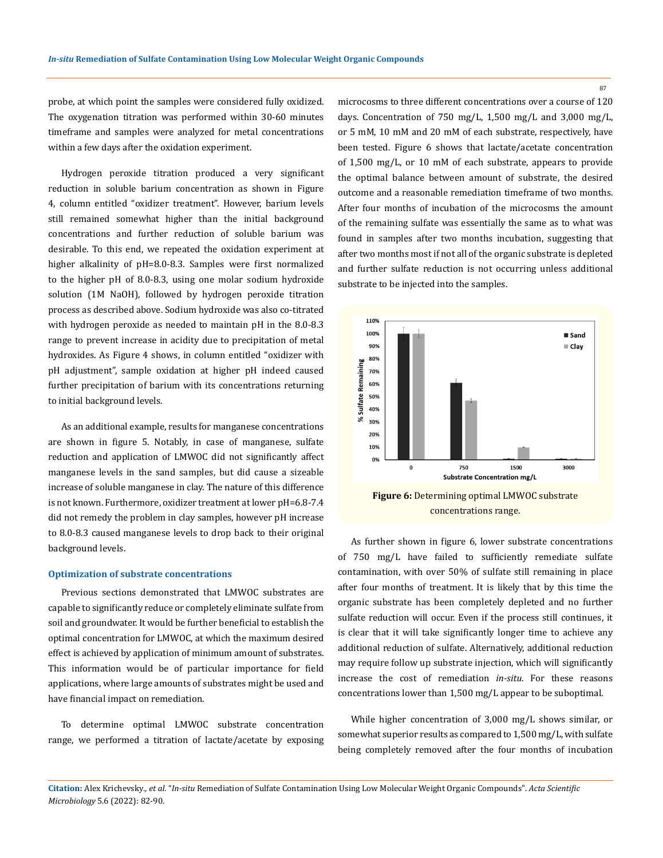probe, at which point the samples were considered fully oxidized. The oxygenation titration was performed within 30-60 minutes timeframe and samples were analyzed for metal concentrations within a few days after the oxidation experiment.

Hydrogen peroxide titration produced a very significant reduction in soluble barium concentration as shown in Figure 4, column entitled "oxidizer treatment". However, barium levels still remained somewhat higher than the initial background concentrations and further reduction of soluble barium was desirable. To this end, we repeated the oxidation experiment at higher alkalinity of pH=8.0-8.3. Samples were first normalized to the higher pH of 8.0-8.3, using one molar sodium hydroxide solution (1M NaOH), followed by hydrogen peroxide titration process as described above. Sodium hydroxide was also co-titrated with hydrogen peroxide as needed to maintain pH in the 8.0-8.3 range to prevent increase in acidity due to precipitation of metal hydroxides. As Figure 4 shows, in column entitled "oxidizer with pH adjustment", sample oxidation at higher pH indeed caused further precipitation of barium with its concentrations returning to initial background levels.

As an additional example, results for manganese concentrations are shown in figure 5. Notably, in case of manganese, sulfate reduction and application of LMWOC did not significantly affect manganese levels in the sand samples, but did cause a sizeable increase of soluble manganese in clay. The nature of this difference is not known. Furthermore, oxidizer treatment at lower pH=6.8-7.4 did not remedy the problem in clay samples, however pH increase to 8.0-8.3 caused manganese levels to drop back to their original background levels.

#### **Optimization of substrate concentrations**

Previous sections demonstrated that LMWOC substrates are capable to significantly reduce or completely eliminate sulfate from soil and groundwater. It would be further beneficial to establish the optimal concentration for LMWOC, at which the maximum desired effect is achieved by application of minimum amount of substrates. This information would be of particular importance for field applications, where large amounts of substrates might be used and have financial impact on remediation.

To determine optimal LMWOC substrate concentration range, we performed a titration of lactate/acetate by exposing microcosms to three different concentrations over a course of 120 days. Concentration of 750 mg/L, 1,500 mg/L and 3,000 mg/L, or 5 mM, 10 mM and 20 mM of each substrate, respectively, have been tested. Figure 6 shows that lactate/acetate concentration of 1,500 mg/L, or 10 mM of each substrate, appears to provide the optimal balance between amount of substrate, the desired outcome and a reasonable remediation timeframe of two months. After four months of incubation of the microcosms the amount of the remaining sulfate was essentially the same as to what was found in samples after two months incubation, suggesting that after two months most if not all of the organic substrate is depleted and further sulfate reduction is not occurring unless additional substrate to be injected into the samples.



concentrations range.

As further shown in figure 6, lower substrate concentrations of 750 mg/L have failed to sufficiently remediate sulfate contamination, with over 50% of sulfate still remaining in place after four months of treatment. It is likely that by this time the organic substrate has been completely depleted and no further sulfate reduction will occur. Even if the process still continues, it is clear that it will take significantly longer time to achieve any additional reduction of sulfate. Alternatively, additional reduction may require follow up substrate injection, which will significantly increase the cost of remediation *in-situ*. For these reasons concentrations lower than 1,500 mg/L appear to be suboptimal.

While higher concentration of 3,000 mg/L shows similar, or somewhat superior results as compared to 1,500 mg/L, with sulfate being completely removed after the four months of incubation

**Citation:** Alex Krichevsky*., et al.* "*In-situ* Remediation of Sulfate Contamination Using Low Molecular Weight Organic Compounds". *Acta Scientific Microbiology* 5.6 (2022): 82-90.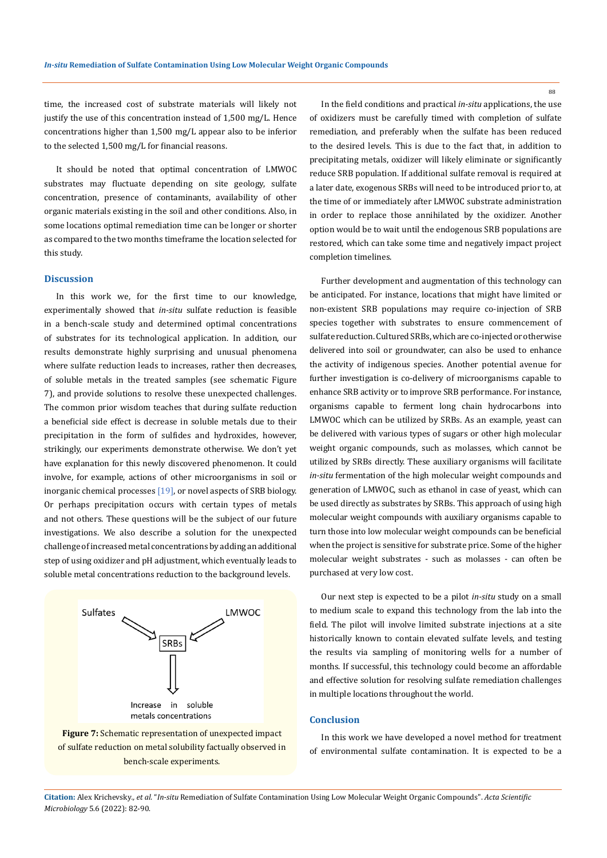time, the increased cost of substrate materials will likely not justify the use of this concentration instead of 1,500 mg/L. Hence concentrations higher than 1,500 mg/L appear also to be inferior to the selected 1,500 mg/L for financial reasons.

It should be noted that optimal concentration of LMWOC substrates may fluctuate depending on site geology, sulfate concentration, presence of contaminants, availability of other organic materials existing in the soil and other conditions. Also, in some locations optimal remediation time can be longer or shorter as compared to the two months timeframe the location selected for this study.

### **Discussion**

In this work we, for the first time to our knowledge, experimentally showed that *in-situ* sulfate reduction is feasible in a bench-scale study and determined optimal concentrations of substrates for its technological application. In addition, our results demonstrate highly surprising and unusual phenomena where sulfate reduction leads to increases, rather then decreases, of soluble metals in the treated samples (see schematic Figure 7), and provide solutions to resolve these unexpected challenges. The common prior wisdom teaches that during sulfate reduction a beneficial side effect is decrease in soluble metals due to their precipitation in the form of sulfides and hydroxides, however, strikingly, our experiments demonstrate otherwise. We don't yet have explanation for this newly discovered phenomenon. It could involve, for example, actions of other microorganisms in soil or inorganic chemical processes  $[19]$ , or novel aspects of SRB biology. Or perhaps precipitation occurs with certain types of metals and not others. These questions will be the subject of our future investigations. We also describe a solution for the unexpected challenge of increased metal concentrations by adding an additional step of using oxidizer and pH adjustment, which eventually leads to soluble metal concentrations reduction to the background levels.



**Figure 7:** Schematic representation of unexpected impact of sulfate reduction on metal solubility factually observed in bench-scale experiments.

In the field conditions and practical *in-situ* applications, the use of oxidizers must be carefully timed with completion of sulfate remediation, and preferably when the sulfate has been reduced to the desired levels. This is due to the fact that, in addition to precipitating metals, oxidizer will likely eliminate or significantly

reduce SRB population. If additional sulfate removal is required at a later date, exogenous SRBs will need to be introduced prior to, at the time of or immediately after LMWOC substrate administration in order to replace those annihilated by the oxidizer. Another option would be to wait until the endogenous SRB populations are restored, which can take some time and negatively impact project completion timelines.

Further development and augmentation of this technology can be anticipated. For instance, locations that might have limited or non-existent SRB populations may require co-injection of SRB species together with substrates to ensure commencement of sulfate reduction. Cultured SRBs, which are co-injected or otherwise delivered into soil or groundwater, can also be used to enhance the activity of indigenous species. Another potential avenue for further investigation is co-delivery of microorganisms capable to enhance SRB activity or to improve SRB performance. For instance, organisms capable to ferment long chain hydrocarbons into LMWOC which can be utilized by SRBs. As an example, yeast can be delivered with various types of sugars or other high molecular weight organic compounds, such as molasses, which cannot be utilized by SRBs directly. These auxiliary organisms will facilitate *in-situ* fermentation of the high molecular weight compounds and generation of LMWOC, such as ethanol in case of yeast, which can be used directly as substrates by SRBs. This approach of using high molecular weight compounds with auxiliary organisms capable to turn those into low molecular weight compounds can be beneficial when the project is sensitive for substrate price. Some of the higher molecular weight substrates - such as molasses - can often be purchased at very low cost.

Our next step is expected to be a pilot *in-situ* study on a small to medium scale to expand this technology from the lab into the field. The pilot will involve limited substrate injections at a site historically known to contain elevated sulfate levels, and testing the results via sampling of monitoring wells for a number of months. If successful, this technology could become an affordable and effective solution for resolving sulfate remediation challenges in multiple locations throughout the world.

## **Conclusion**

In this work we have developed a novel method for treatment of environmental sulfate contamination. It is expected to be a

**Citation:** Alex Krichevsky*., et al.* "*In-situ* Remediation of Sulfate Contamination Using Low Molecular Weight Organic Compounds". *Acta Scientific Microbiology* 5.6 (2022): 82-90.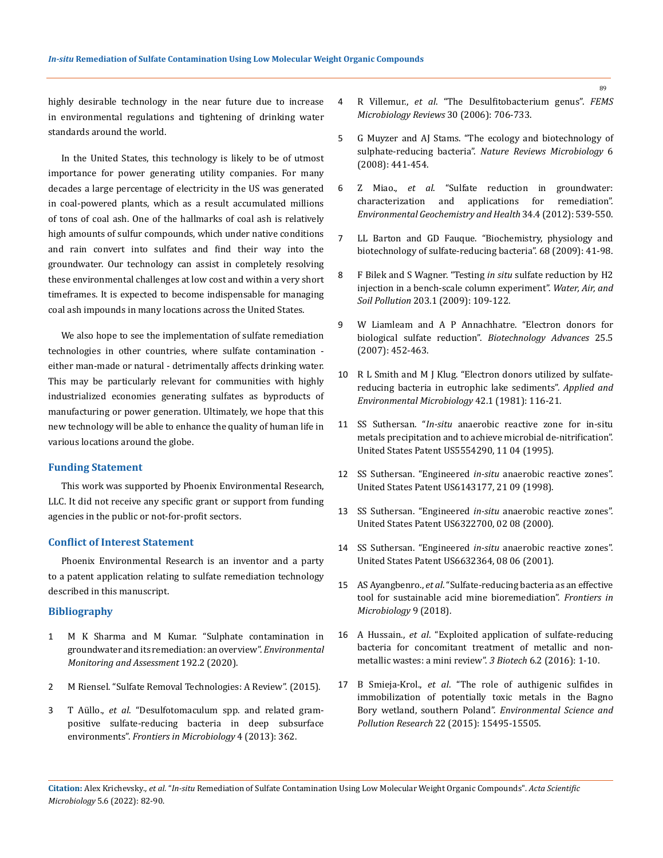highly desirable technology in the near future due to increase in environmental regulations and tightening of drinking water standards around the world.

In the United States, this technology is likely to be of utmost importance for power generating utility companies. For many decades a large percentage of electricity in the US was generated in coal-powered plants, which as a result accumulated millions of tons of coal ash. One of the hallmarks of coal ash is relatively high amounts of sulfur compounds, which under native conditions and rain convert into sulfates and find their way into the groundwater. Our technology can assist in completely resolving these environmental challenges at low cost and within a very short timeframes. It is expected to become indispensable for managing coal ash impounds in many locations across the United States.

We also hope to see the implementation of sulfate remediation technologies in other countries, where sulfate contamination either man-made or natural - detrimentally affects drinking water. This may be particularly relevant for communities with highly industrialized economies generating sulfates as byproducts of manufacturing or power generation. Ultimately, we hope that this new technology will be able to enhance the quality of human life in various locations around the globe.

# **Funding Statement**

This work was supported by Phoenix Environmental Research, LLC. It did not receive any specific grant or support from funding agencies in the public or not-for-profit sectors.

## **Conflict of Interest Statement**

Phoenix Environmental Research is an inventor and a party to a patent application relating to sulfate remediation technology described in this manuscript.

#### **Bibliography**

- 1 [M K Sharma and M Kumar. "Sulphate contamination in](https://link.springer.com/article/10.1007/s10661-019-8051-6)  [groundwater and its remediation: an overview".](https://link.springer.com/article/10.1007/s10661-019-8051-6) *Environmental [Monitoring and Assessment](https://link.springer.com/article/10.1007/s10661-019-8051-6)* 192.2 (2020).
- 2 [M Riensel. "Sulfate Removal Technologies: A Review". \(2015\).](https://www.wateronline.com/doc/sulfate-removal-technologies-a-review-0001)
- 3 T Aüllo., *et al*[. "Desulfotomaculum spp. and related gram](https://www.frontiersin.org/articles/10.3389/fmicb.2013.00362/full)[positive sulfate-reducing bacteria in deep subsurface](https://www.frontiersin.org/articles/10.3389/fmicb.2013.00362/full)  environments". *[Frontiers in Microbiology](https://www.frontiersin.org/articles/10.3389/fmicb.2013.00362/full)* 4 (2013): 362.
- 4 R Villemur., *et al*[. "The Desulfitobacterium genus".](https://academic.oup.com/femsre/article/30/5/706/2399023) *FEMS [Microbiology Reviews](https://academic.oup.com/femsre/article/30/5/706/2399023)* 30 (2006): 706-733.
- 5 [G Muyzer and AJ Stams. "The ecology and biotechnology of](https://www.nature.com/articles/nrmicro1892)  sulphate-reducing bacteria". *[Nature Reviews Microbiology](https://www.nature.com/articles/nrmicro1892)* 6 [\(2008\): 441-454.](https://www.nature.com/articles/nrmicro1892)
- 6 Z Miao., *et al*[. "Sulfate reduction in groundwater:](https://www.ncbi.nlm.nih.gov/pmc/articles/PMC3575751/)  [characterization and applications for remediation".](https://www.ncbi.nlm.nih.gov/pmc/articles/PMC3575751/)  *[Environmental Geochemistry and Health](https://www.ncbi.nlm.nih.gov/pmc/articles/PMC3575751/)* 34.4 (2012): 539-550.
- 7 [LL Barton and GD Fauque. "Biochemistry, physiology and](https://pubmed.ncbi.nlm.nih.gov/19426853/)  [biotechnology of sulfate-reducing bacteria". 68 \(2009\): 41-98.](https://pubmed.ncbi.nlm.nih.gov/19426853/)
- 8 [F Bilek and S Wagner. "Testing](https://link.springer.com/article/10.1007/s11270-009-9995-x) *in situ* sulfate reduction by H2 [injection in a bench-scale column experiment".](https://link.springer.com/article/10.1007/s11270-009-9995-x) *Water, Air, and Soil Pollution* [203.1 \(2009\): 109-122.](https://link.springer.com/article/10.1007/s11270-009-9995-x)
- 9 W Liamleam and A P Annachhatre. "Electron donors for biological sulfate reduction". *Biotechnology Advances* 25.5 (2007): 452-463.
- 10 [R L Smith and M J Klug. "Electron donors utilized by sulfate](https://www.ncbi.nlm.nih.gov/pmc/articles/PMC243972/)[reducing bacteria in eutrophic lake sediments".](https://www.ncbi.nlm.nih.gov/pmc/articles/PMC243972/) *Applied and [Environmental Microbiology](https://www.ncbi.nlm.nih.gov/pmc/articles/PMC243972/)* 42.1 (1981): 116-21.
- 11 SS Suthersan. "*In-situ* anaerobic reactive zone for in-situ metals precipitation and to achieve microbial de-nitrification". United States Patent US5554290, 11 04 (1995).
- 12 SS Suthersan. "Engineered *in-situ* anaerobic reactive zones". United States Patent US6143177, 21 09 (1998).
- 13 SS Suthersan. "Engineered *in-situ* anaerobic reactive zones". United States Patent US6322700, 02 08 (2000).
- 14 SS Suthersan. "Engineered *in-situ* anaerobic reactive zones". United States Patent US6632364, 08 06 (2001).
- 15 AS Ayangbenro., *et al*. "Sulfate-reducing bacteria as an effective tool for sustainable acid mine bioremediation". *Frontiers in Microbiology* 9 (2018).
- 16 A Hussain., *et al*[. "Exploited application of sulfate-reducing](https://link.springer.com/article/10.1007/s13205-016-0437-3)  [bacteria for concomitant treatment of metallic and non](https://link.springer.com/article/10.1007/s13205-016-0437-3)[metallic wastes: a mini review".](https://link.springer.com/article/10.1007/s13205-016-0437-3) *3 Biotech* 6.2 (2016): 1-10.
- 17 B Smieja-Krol., *et al*[. "The role of authigenic sulfides in](https://link.springer.com/article/10.1007/s11356-015-4728-8)  [immobilization of potentially toxic metals in the Bagno](https://link.springer.com/article/10.1007/s11356-015-4728-8)  Bory wetland, southern Poland". *[Environmental Science and](https://link.springer.com/article/10.1007/s11356-015-4728-8)  Pollution Research* [22 \(2015\): 15495-15505.](https://link.springer.com/article/10.1007/s11356-015-4728-8)

**Citation:** Alex Krichevsky*., et al.* "*In-situ* Remediation of Sulfate Contamination Using Low Molecular Weight Organic Compounds". *Acta Scientific Microbiology* 5.6 (2022): 82-90.